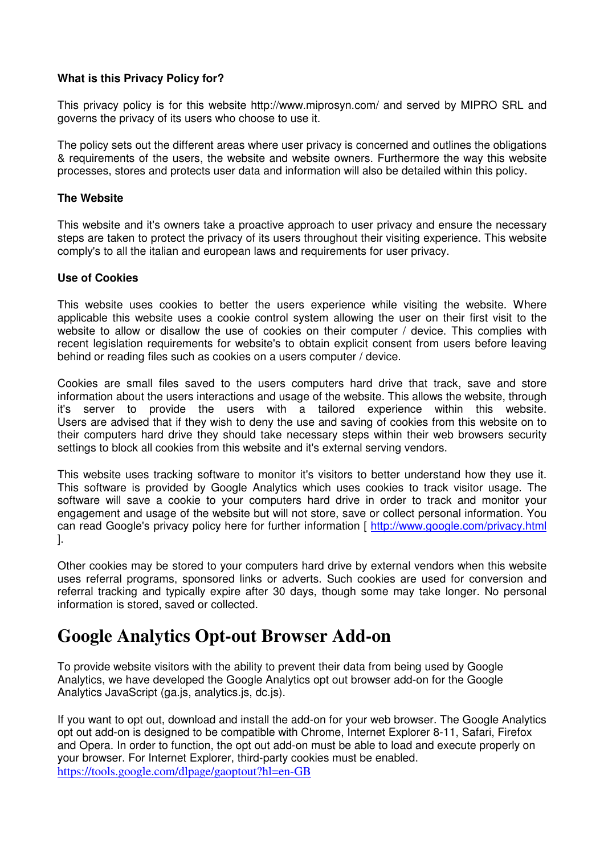# **What is this Privacy Policy for?**

This privacy policy is for this website http://www.miprosyn.com/ and served by MIPRO SRL and governs the privacy of its users who choose to use it.

The policy sets out the different areas where user privacy is concerned and outlines the obligations & requirements of the users, the website and website owners. Furthermore the way this website processes, stores and protects user data and information will also be detailed within this policy.

### **The Website**

This website and it's owners take a proactive approach to user privacy and ensure the necessary steps are taken to protect the privacy of its users throughout their visiting experience. This website comply's to all the italian and european laws and requirements for user privacy.

#### **Use of Cookies**

This website uses cookies to better the users experience while visiting the website. Where applicable this website uses a cookie control system allowing the user on their first visit to the website to allow or disallow the use of cookies on their computer / device. This complies with recent legislation requirements for website's to obtain explicit consent from users before leaving behind or reading files such as cookies on a users computer / device.

Cookies are small files saved to the users computers hard drive that track, save and store information about the users interactions and usage of the website. This allows the website, through it's server to provide the users with a tailored experience within this website. Users are advised that if they wish to deny the use and saving of cookies from this website on to their computers hard drive they should take necessary steps within their web browsers security settings to block all cookies from this website and it's external serving vendors.

This website uses tracking software to monitor it's visitors to better understand how they use it. This software is provided by Google Analytics which uses cookies to track visitor usage. The software will save a cookie to your computers hard drive in order to track and monitor your engagement and usage of the website but will not store, save or collect personal information. You can read Google's privacy policy here for further information [ http://www.google.com/privacy.html ].

Other cookies may be stored to your computers hard drive by external vendors when this website uses referral programs, sponsored links or adverts. Such cookies are used for conversion and referral tracking and typically expire after 30 days, though some may take longer. No personal information is stored, saved or collected.

# **Google Analytics Opt-out Browser Add-on**

To provide website visitors with the ability to prevent their data from being used by Google Analytics, we have developed the Google Analytics opt out browser add-on for the Google Analytics JavaScript (ga.js, analytics.js, dc.js).

If you want to opt out, download and install the add-on for your web browser. The Google Analytics opt out add-on is designed to be compatible with Chrome, Internet Explorer 8-11, Safari, Firefox and Opera. In order to function, the opt out add-on must be able to load and execute properly on your browser. For Internet Explorer, third-party cookies must be enabled. https://tools.google.com/dlpage/gaoptout?hl=en-GB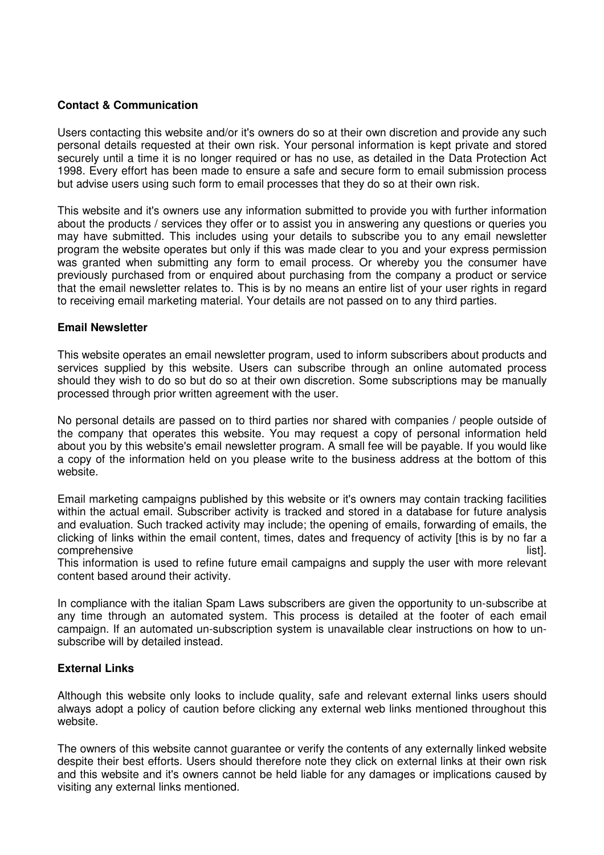# **Contact & Communication**

Users contacting this website and/or it's owners do so at their own discretion and provide any such personal details requested at their own risk. Your personal information is kept private and stored securely until a time it is no longer required or has no use, as detailed in the Data Protection Act 1998. Every effort has been made to ensure a safe and secure form to email submission process but advise users using such form to email processes that they do so at their own risk.

This website and it's owners use any information submitted to provide you with further information about the products / services they offer or to assist you in answering any questions or queries you may have submitted. This includes using your details to subscribe you to any email newsletter program the website operates but only if this was made clear to you and your express permission was granted when submitting any form to email process. Or whereby you the consumer have previously purchased from or enquired about purchasing from the company a product or service that the email newsletter relates to. This is by no means an entire list of your user rights in regard to receiving email marketing material. Your details are not passed on to any third parties.

## **Email Newsletter**

This website operates an email newsletter program, used to inform subscribers about products and services supplied by this website. Users can subscribe through an online automated process should they wish to do so but do so at their own discretion. Some subscriptions may be manually processed through prior written agreement with the user.

No personal details are passed on to third parties nor shared with companies / people outside of the company that operates this website. You may request a copy of personal information held about you by this website's email newsletter program. A small fee will be payable. If you would like a copy of the information held on you please write to the business address at the bottom of this website.

Email marketing campaigns published by this website or it's owners may contain tracking facilities within the actual email. Subscriber activity is tracked and stored in a database for future analysis and evaluation. Such tracked activity may include; the opening of emails, forwarding of emails, the clicking of links within the email content, times, dates and frequency of activity [this is by no far a comprehensive list]. The comprehensive list of the comprehensive list and the comprehensive list and the comprehensive list and the comprehensive list and the comprehensive list and the comprehensive list and the comprehen

This information is used to refine future email campaigns and supply the user with more relevant content based around their activity.

In compliance with the italian Spam Laws subscribers are given the opportunity to un-subscribe at any time through an automated system. This process is detailed at the footer of each email campaign. If an automated un-subscription system is unavailable clear instructions on how to unsubscribe will by detailed instead.

## **External Links**

Although this website only looks to include quality, safe and relevant external links users should always adopt a policy of caution before clicking any external web links mentioned throughout this website.

The owners of this website cannot guarantee or verify the contents of any externally linked website despite their best efforts. Users should therefore note they click on external links at their own risk and this website and it's owners cannot be held liable for any damages or implications caused by visiting any external links mentioned.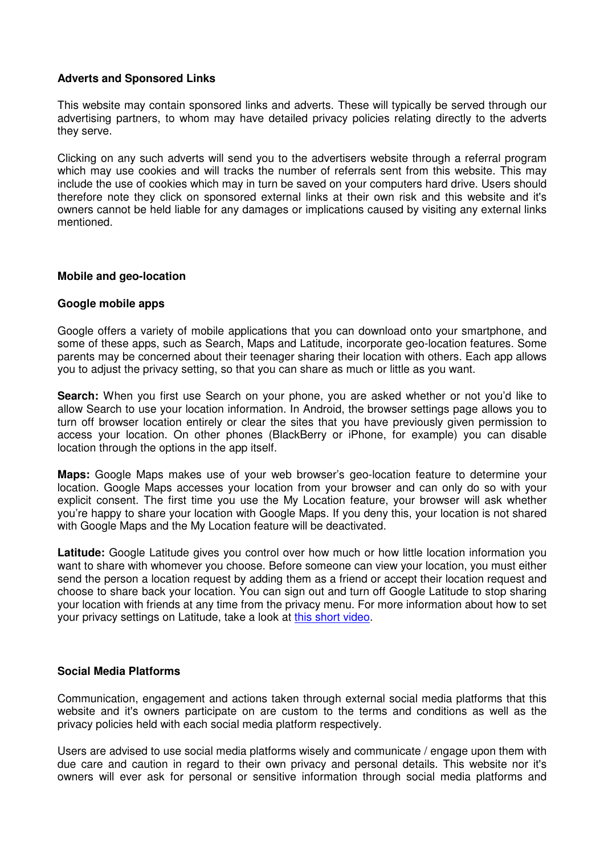## **Adverts and Sponsored Links**

This website may contain sponsored links and adverts. These will typically be served through our advertising partners, to whom may have detailed privacy policies relating directly to the adverts they serve.

Clicking on any such adverts will send you to the advertisers website through a referral program which may use cookies and will tracks the number of referrals sent from this website. This may include the use of cookies which may in turn be saved on your computers hard drive. Users should therefore note they click on sponsored external links at their own risk and this website and it's owners cannot be held liable for any damages or implications caused by visiting any external links mentioned.

#### **Mobile and geo-location**

#### **Google mobile apps**

Google offers a variety of mobile applications that you can download onto your smartphone, and some of these apps, such as Search, Maps and Latitude, incorporate geo-location features. Some parents may be concerned about their teenager sharing their location with others. Each app allows you to adjust the privacy setting, so that you can share as much or little as you want.

**Search:** When you first use Search on your phone, you are asked whether or not you'd like to allow Search to use your location information. In Android, the browser settings page allows you to turn off browser location entirely or clear the sites that you have previously given permission to access your location. On other phones (BlackBerry or iPhone, for example) you can disable location through the options in the app itself.

**Maps:** Google Maps makes use of your web browser's geo-location feature to determine your location. Google Maps accesses your location from your browser and can only do so with your explicit consent. The first time you use the My Location feature, your browser will ask whether you're happy to share your location with Google Maps. If you deny this, your location is not shared with Google Maps and the My Location feature will be deactivated.

**Latitude:** Google Latitude gives you control over how much or how little location information you want to share with whomever you choose. Before someone can view your location, you must either send the person a location request by adding them as a friend or accept their location request and choose to share back your location. You can sign out and turn off Google Latitude to stop sharing your location with friends at any time from the privacy menu. For more information about how to set your privacy settings on Latitude, take a look at this short video.

#### **Social Media Platforms**

Communication, engagement and actions taken through external social media platforms that this website and it's owners participate on are custom to the terms and conditions as well as the privacy policies held with each social media platform respectively.

Users are advised to use social media platforms wisely and communicate / engage upon them with due care and caution in regard to their own privacy and personal details. This website nor it's owners will ever ask for personal or sensitive information through social media platforms and